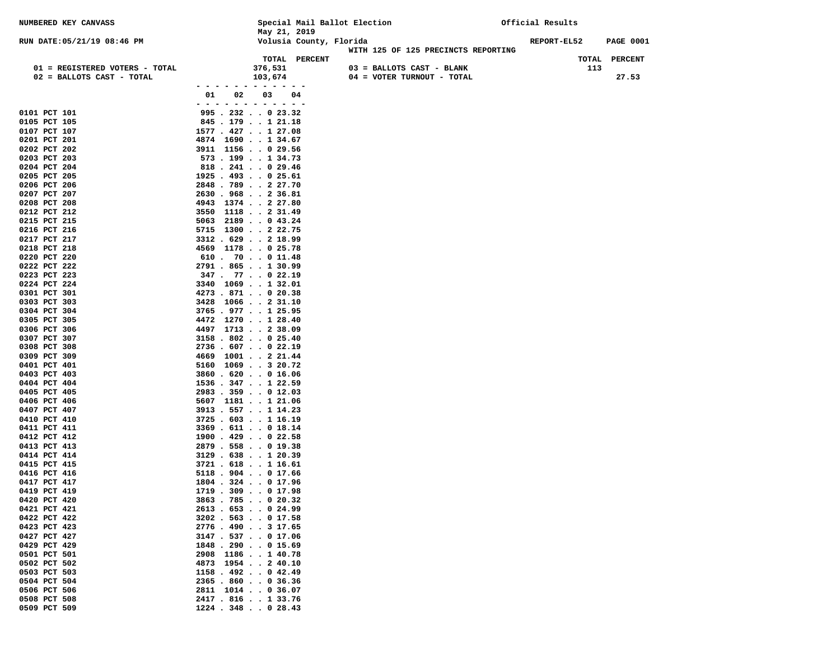| NUMBERED KEY CANVASS                                        |                                                 | May 21, 2019       |                         | Special Mail Ballot Election |                                                         | Official Results |     |                  |
|-------------------------------------------------------------|-------------------------------------------------|--------------------|-------------------------|------------------------------|---------------------------------------------------------|------------------|-----|------------------|
| RUN DATE: 05/21/19 08:46 PM                                 |                                                 |                    | Volusia County, Florida |                              |                                                         | REPORT-EL52      |     | <b>PAGE 0001</b> |
|                                                             |                                                 |                    | TOTAL PERCENT           |                              | WITH 125 OF 125 PRECINCTS REPORTING                     |                  |     | TOTAL PERCENT    |
| 01 = REGISTERED VOTERS - TOTAL<br>02 = BALLOTS CAST - TOTAL |                                                 | 376,531<br>103,674 |                         |                              | 03 = BALLOTS CAST - BLANK<br>04 = VOTER TURNOUT - TOTAL |                  | 113 | 27.53            |
|                                                             | 01<br>02                                        | 03                 | 04                      |                              |                                                         |                  |     |                  |
|                                                             | - -<br>$\sim$                                   |                    |                         |                              |                                                         |                  |     |                  |
| 0101 PCT 101<br>0105 PCT 105                                | $995$ . 232 0 23.32<br>845.179121.18            |                    |                         |                              |                                                         |                  |     |                  |
| 0107 PCT 107                                                | 1577 . 427 1 27.08                              |                    |                         |                              |                                                         |                  |     |                  |
| 0201 PCT 201                                                | 4874 1690 1 34.67                               |                    |                         |                              |                                                         |                  |     |                  |
| 0202 PCT 202                                                | 3911 1156 0 29.56                               |                    |                         |                              |                                                         |                  |     |                  |
| 0203 PCT 203                                                | 573.199134.73                                   |                    |                         |                              |                                                         |                  |     |                  |
| 0204 PCT 204                                                | $818$ . 241 0 29.46                             |                    |                         |                              |                                                         |                  |     |                  |
| 0205 PCT 205                                                | $1925$ . 493 0 25.61                            |                    |                         |                              |                                                         |                  |     |                  |
| 0206 PCT 206                                                | 2848.789227.70                                  |                    |                         |                              |                                                         |                  |     |                  |
| 0207 PCT 207<br>0208 PCT 208                                | 2630.968236.81<br>4943 1374 2 27.80             |                    |                         |                              |                                                         |                  |     |                  |
| 0212 PCT 212                                                | 3550 1118 2 31.49                               |                    |                         |                              |                                                         |                  |     |                  |
| 0215 PCT 215                                                | $5063$ 2189 0 43.24                             |                    |                         |                              |                                                         |                  |     |                  |
| 0216 PCT 216                                                | 5715 1300 2 22.75                               |                    |                         |                              |                                                         |                  |     |                  |
| 0217 PCT 217                                                | 3312.629218.99                                  |                    |                         |                              |                                                         |                  |     |                  |
| 0218 PCT 218                                                | 4569 1178 0 25.78                               |                    |                         |                              |                                                         |                  |     |                  |
| 0220 PCT 220                                                | $610$ . 70 0 11.48                              |                    |                         |                              |                                                         |                  |     |                  |
| 0222 PCT 222<br>0223 PCT 223                                | $2791$ . 865 1 30.99<br>$347$ $. 77$ $. 022.19$ |                    |                         |                              |                                                         |                  |     |                  |
| 0224 PCT 224                                                | 3340 1069 1 32.01                               |                    |                         |                              |                                                         |                  |     |                  |
| 0301 PCT 301                                                | 4273 . 871 0 20.38                              |                    |                         |                              |                                                         |                  |     |                  |
| 0303 PCT 303                                                | 3428 1066 2 31.10                               |                    |                         |                              |                                                         |                  |     |                  |
| 0304 PCT 304                                                | $3765$ . $977$ 1 25.95                          |                    |                         |                              |                                                         |                  |     |                  |
| 0305 PCT 305                                                | 4472 1270 1 28.40                               |                    |                         |                              |                                                         |                  |     |                  |
| 0306 PCT 306                                                | 4497 1713 2 38.09<br>$3158$ . 802 0 25.40       |                    |                         |                              |                                                         |                  |     |                  |
| 0307 PCT 307<br>0308 PCT 308                                | $2736$ . 607 0 22.19                            |                    |                         |                              |                                                         |                  |     |                  |
| 0309 PCT 309                                                | 4669 1001 2 21.44                               |                    |                         |                              |                                                         |                  |     |                  |
| 0401 PCT 401                                                | $5160$ $1069$ 3 20.72                           |                    |                         |                              |                                                         |                  |     |                  |
| 0403 PCT 403                                                | 3860.620016.06                                  |                    |                         |                              |                                                         |                  |     |                  |
| 0404 PCT 404                                                | $1536$ . 347 1 22.59                            |                    |                         |                              |                                                         |                  |     |                  |
| 0405 PCT 405                                                | $2983$ . 359 0 12.03                            |                    |                         |                              |                                                         |                  |     |                  |
| 0406 PCT 406<br>0407 PCT 407                                | 5607 1181 1 21.06<br>$3913$ . 557 1 14.23       |                    |                         |                              |                                                         |                  |     |                  |
| 0410 PCT 410                                                | 3725.603.1116.19                                |                    |                         |                              |                                                         |                  |     |                  |
| 0411 PCT 411                                                | 3369.611.018.14                                 |                    |                         |                              |                                                         |                  |     |                  |
| 0412 PCT 412                                                | $1900$ . $429$ 0 22.58                          |                    |                         |                              |                                                         |                  |     |                  |
| 0413 PCT 413                                                | 2879 . 558 0 19.38                              |                    |                         |                              |                                                         |                  |     |                  |
| 0414 PCT 414                                                | 3129.638.120.39                                 |                    |                         |                              |                                                         |                  |     |                  |
| 0415 PCT 415<br>0416 PCT 416                                | $3721$ . $618$ 1 16.61<br>$5118$ . 904 0 17.66  |                    |                         |                              |                                                         |                  |     |                  |
| 0417 PCT 417                                                | 1804 . 324 0 17.96                              |                    |                         |                              |                                                         |                  |     |                  |
| 0419 PCT 419                                                | $1719$ . 309 0 17.98                            |                    |                         |                              |                                                         |                  |     |                  |
| 0420 PCT 420                                                | $3863$ . 785 0 20.32                            |                    |                         |                              |                                                         |                  |     |                  |
| 0421 PCT 421                                                | $2613$ . 653 0 24.99                            |                    |                         |                              |                                                         |                  |     |                  |
| 0422 PCT 422                                                | $3202$ . 563 0 17.58                            |                    |                         |                              |                                                         |                  |     |                  |
| 0423 PCT 423<br>0427 PCT 427                                | 2776.490317.65<br>3147.537.017.06               |                    |                         |                              |                                                         |                  |     |                  |
| 0429 PCT 429                                                | $1848$ . 290 0 15.69                            |                    |                         |                              |                                                         |                  |     |                  |
| 0501 PCT 501                                                | 2908 1186 1 40.78                               |                    |                         |                              |                                                         |                  |     |                  |
| 0502 PCT 502                                                | 4873 1954 2 40.10                               |                    |                         |                              |                                                         |                  |     |                  |
| 0503 PCT 503                                                | $1158$ . 492 0 42.49                            |                    |                         |                              |                                                         |                  |     |                  |
| 0504 PCT 504                                                | $2365$ $\cdot$ 860 $\cdot$ $\cdot$ 0 36.36      |                    |                         |                              |                                                         |                  |     |                  |
| 0506 PCT 506<br>0508 PCT 508                                | 2811 1014 0 36.07<br>2417 . 816 1 33.76         |                    |                         |                              |                                                         |                  |     |                  |
| 0509 PCT 509                                                | 1224 . 348 0 28.43                              |                    |                         |                              |                                                         |                  |     |                  |
|                                                             |                                                 |                    |                         |                              |                                                         |                  |     |                  |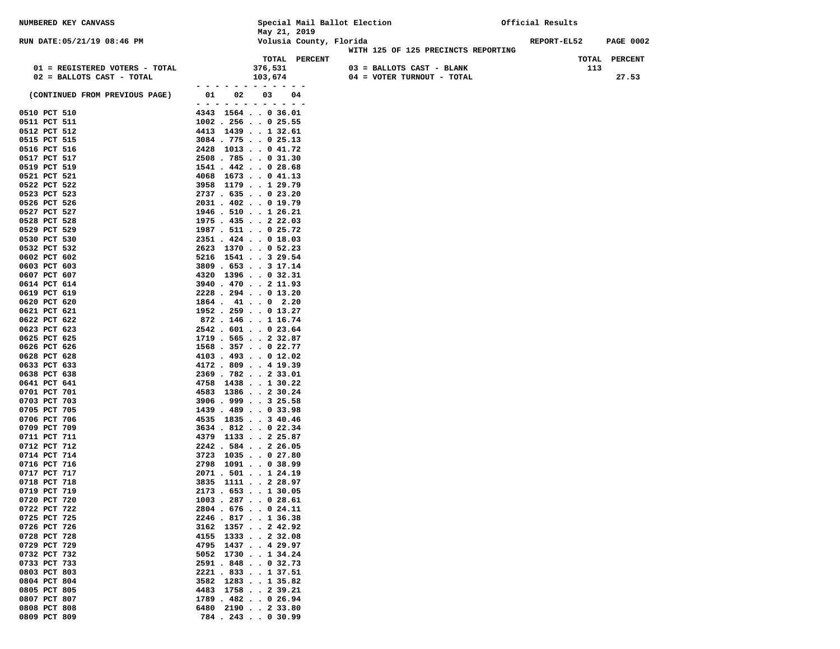| NUMBERED KEY CANVASS                                        |                                                 |                          |                         | Special Mail Ballot Election                            |                                     | Official Results |                  |
|-------------------------------------------------------------|-------------------------------------------------|--------------------------|-------------------------|---------------------------------------------------------|-------------------------------------|------------------|------------------|
| RUN DATE: 05/21/19 08:46 PM                                 |                                                 | May 21, 2019             | Volusia County, Florida |                                                         |                                     | REPORT-EL52      | <b>PAGE 0002</b> |
|                                                             |                                                 |                          | TOTAL PERCENT           |                                                         | WITH 125 OF 125 PRECINCTS REPORTING | TOTAL            | <b>PERCENT</b>   |
| 01 = REGISTERED VOTERS - TOTAL<br>02 = BALLOTS CAST - TOTAL |                                                 | 376,531<br>103,674       |                         | 03 = BALLOTS CAST - BLANK<br>04 = VOTER TURNOUT - TOTAL |                                     | 113              | 27.53            |
| (CONTINUED FROM PREVIOUS PAGE)                              | 01<br>02                                        | 03                       | 04                      |                                                         |                                     |                  |                  |
| 0510 PCT 510                                                | $  -$<br>$ -$<br>4343 1564 0 36.01              | $\overline{\phantom{0}}$ |                         |                                                         |                                     |                  |                  |
| 0511 PCT 511                                                | $1002$ . 256 0 25.55                            |                          |                         |                                                         |                                     |                  |                  |
| 0512 PCT 512                                                | 4413 1439 1 32.61                               |                          |                         |                                                         |                                     |                  |                  |
| 0515 PCT 515                                                | $3084$ . 775 0 25.13                            |                          |                         |                                                         |                                     |                  |                  |
| 0516 PCT 516                                                | 2428 1013 0 41.72                               |                          |                         |                                                         |                                     |                  |                  |
| 0517 PCT 517                                                | $2508$ . 785 0 31.30                            |                          |                         |                                                         |                                     |                  |                  |
| 0519 PCT 519<br>0521 PCT 521                                | $1541$ . $442$ 0 28.68<br>4068 1673 0 41.13     |                          |                         |                                                         |                                     |                  |                  |
| 0522 PCT 522                                                | 3958 1179 1 29.79                               |                          |                         |                                                         |                                     |                  |                  |
| 0523 PCT 523                                                | $2737$ . 635 0 23.20                            |                          |                         |                                                         |                                     |                  |                  |
| 0526 PCT 526                                                | $2031$ . $402$ 0 19.79                          |                          |                         |                                                         |                                     |                  |                  |
| 0527 PCT 527                                                | $1946$ . 510 1 26.21                            |                          |                         |                                                         |                                     |                  |                  |
| 0528 PCT 528                                                | $1975$ . $435$ 2 22.03                          |                          |                         |                                                         |                                     |                  |                  |
| 0529 PCT 529                                                | 1987 . 511 0 25.72                              |                          |                         |                                                         |                                     |                  |                  |
| 0530 PCT 530<br>0532 PCT 532                                | 2351 . 424 0 18.03<br>2623 1370 0 52.23         |                          |                         |                                                         |                                     |                  |                  |
| 0602 PCT 602                                                | 5216 1541 3 29.54                               |                          |                         |                                                         |                                     |                  |                  |
| 0603 PCT 603                                                | $3809$ . 653 3 17.14                            |                          |                         |                                                         |                                     |                  |                  |
| 0607 PCT 607                                                | 4320 1396 0 32.31                               |                          |                         |                                                         |                                     |                  |                  |
| 0614 PCT 614                                                | 3940.470211.93                                  |                          |                         |                                                         |                                     |                  |                  |
| 0619 PCT 619                                                | 2228 . 294 0 13.20                              |                          |                         |                                                         |                                     |                  |                  |
| 0620 PCT 620<br>0621 PCT 621                                | $1864$ $41$ $40$ $2.20$<br>$1952$ . 259 0 13.27 |                          |                         |                                                         |                                     |                  |                  |
| 0622 PCT 622                                                | $872$ . 146 1 16.74                             |                          |                         |                                                         |                                     |                  |                  |
| 0623 PCT 623                                                | 2542.601023.64                                  |                          |                         |                                                         |                                     |                  |                  |
| 0625 PCT 625                                                | $1719$ . 565 2 32.87                            |                          |                         |                                                         |                                     |                  |                  |
| 0626 PCT 626                                                | 1568.357022.77                                  |                          |                         |                                                         |                                     |                  |                  |
| 0628 PCT 628                                                | $4103$ . $493$ 0 12.02                          |                          |                         |                                                         |                                     |                  |                  |
| 0633 PCT 633<br>0638 PCT 638                                | $4172$ $.809$ $.419.39$<br>2369.782233.01       |                          |                         |                                                         |                                     |                  |                  |
| 0641 PCT 641                                                | $4758$ 1438130.22                               |                          |                         |                                                         |                                     |                  |                  |
| 0701 PCT 701                                                | 4583 1386 2 30.24                               |                          |                         |                                                         |                                     |                  |                  |
| 0703 PCT 703                                                | $3906$ . 999 3 25.58                            |                          |                         |                                                         |                                     |                  |                  |
| 0705 PCT 705                                                | 1439 . 489 0 33.98                              |                          |                         |                                                         |                                     |                  |                  |
| 0706 PCT 706                                                | 4535 1835 3 40.46                               |                          |                         |                                                         |                                     |                  |                  |
| 0709 PCT 709<br>0711 PCT 711                                | $3634$ $.812$ $.022.34$<br>4379 1133 2 25.87    |                          |                         |                                                         |                                     |                  |                  |
| 0712 PCT 712                                                | 2242.584226.05                                  |                          |                         |                                                         |                                     |                  |                  |
| 0714 PCT 714                                                | $3723$ 1035027.80                               |                          |                         |                                                         |                                     |                  |                  |
| 0716 PCT 716                                                | 2798 1091 0 38.99                               |                          |                         |                                                         |                                     |                  |                  |
| 0717 PCT 717                                                | $2071$ . 501 1 24.19                            |                          |                         |                                                         |                                     |                  |                  |
| 0718 PCT 718                                                | 3835 1111 2 28.97                               |                          |                         |                                                         |                                     |                  |                  |
| 0719 PCT 719<br>0720 PCT 720                                | $2173$ . 653 1 30.05<br>$1003$ . 287 0 28.61    |                          |                         |                                                         |                                     |                  |                  |
| 0722 PCT 722                                                | 2804 . 676 0 24.11                              |                          |                         |                                                         |                                     |                  |                  |
| 0725 PCT 725                                                | 2246.817136.38                                  |                          |                         |                                                         |                                     |                  |                  |
| 0726 PCT 726                                                | 3162 1357 2 42.92                               |                          |                         |                                                         |                                     |                  |                  |
| 0728 PCT 728                                                | 4155 1333 2 32.08                               |                          |                         |                                                         |                                     |                  |                  |
| 0729 PCT 729                                                | 4795 1437 4 29.97                               |                          |                         |                                                         |                                     |                  |                  |
| 0732 PCT 732<br>0733 PCT 733                                | 5052 1730 1 34.24                               |                          |                         |                                                         |                                     |                  |                  |
| 0803 PCT 803                                                | 2591 . 848 0 32.73<br>2221 . 833 1 37.51        |                          |                         |                                                         |                                     |                  |                  |
| 0804 PCT 804                                                | 3582 1283 1 35.82                               |                          |                         |                                                         |                                     |                  |                  |
| 0805 PCT 805                                                | 4483 1758 2 39.21                               |                          |                         |                                                         |                                     |                  |                  |
| 0807 PCT 807                                                | 1789 . 482 0 26.94                              |                          |                         |                                                         |                                     |                  |                  |
| 0808 PCT 808                                                | 6480 2190 2 33.80                               |                          |                         |                                                         |                                     |                  |                  |
| 0809 PCT 809                                                | 784 . 243 0 30.99                               |                          |                         |                                                         |                                     |                  |                  |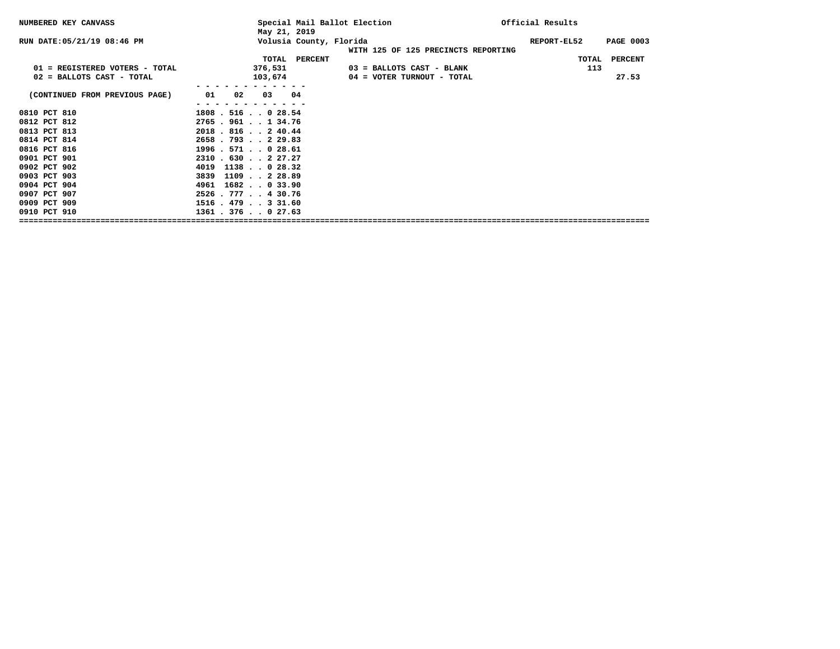| NUMBERED KEY CANVASS           | May 21, 2019            | Special Mail Ballot Election                                   | Official Results                |
|--------------------------------|-------------------------|----------------------------------------------------------------|---------------------------------|
| RUN DATE: 05/21/19 08:46 PM    |                         | Volusia County, Florida<br>WITH 125 OF 125 PRECINCTS REPORTING | REPORT-EL52<br><b>PAGE 0003</b> |
|                                |                         | TOTAL PERCENT                                                  | TOTAL<br><b>PERCENT</b>         |
| 01 = REGISTERED VOTERS - TOTAL | 376,531                 | 03 = BALLOTS CAST - BLANK                                      | 113                             |
| 02 = BALLOTS CAST - TOTAL      | 103,674                 | 04 = VOTER TURNOUT - TOTAL                                     | 27.53                           |
|                                |                         |                                                                |                                 |
| (CONTINUED FROM PREVIOUS PAGE) | 01<br>02<br>04<br>03    |                                                                |                                 |
|                                |                         |                                                                |                                 |
| 0810 PCT 810                   | $1808$ . 516 0 28.54    |                                                                |                                 |
| 0812 PCT 812                   | $2765$ . 961 1 34.76    |                                                                |                                 |
| 0813 PCT 813                   | 2018.816240.44          |                                                                |                                 |
| 0814 PCT 814                   | $2658$ . 793 2 29.83    |                                                                |                                 |
| 0816 PCT 816                   | 1996.571.028.61         |                                                                |                                 |
| 0901 PCT 901                   | $2310$ $.630$ $.227.27$ |                                                                |                                 |
| 0902 PCT 902                   | 4019 1138 0 28.32       |                                                                |                                 |
| 0903 PCT 903                   | 3839 1109 2 28.89       |                                                                |                                 |
| 0904 PCT 904                   | 4961 1682 0 33.90       |                                                                |                                 |
| 0907 PCT 907                   | $2526$ . 777 4 30.76    |                                                                |                                 |
| 0909 PCT 909                   | $1516$ . $479$ 3 31.60  |                                                                |                                 |
| 0910 PCT 910                   | $1361$ $.376$ $.027.63$ |                                                                |                                 |
|                                |                         |                                                                |                                 |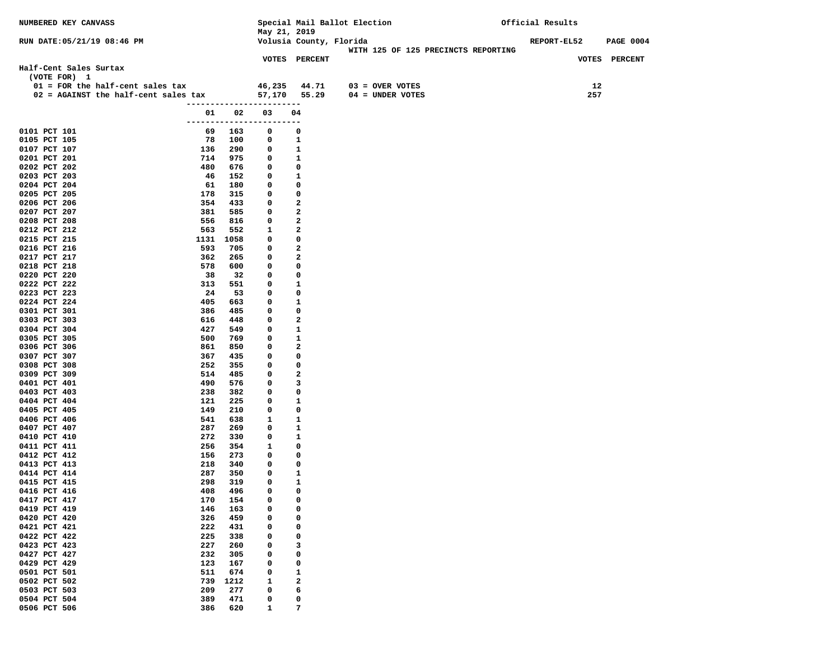| NUMBERED KEY CANVASS                                |            |            |                          |                         | Special Mail Ballot Election        | Official Results   |                  |
|-----------------------------------------------------|------------|------------|--------------------------|-------------------------|-------------------------------------|--------------------|------------------|
|                                                     |            |            | May 21, 2019             |                         |                                     |                    |                  |
| RUN DATE: 05/21/19 08:46 PM                         |            |            |                          | Volusia County, Florida |                                     | <b>REPORT-EL52</b> | <b>PAGE 0004</b> |
|                                                     |            |            |                          |                         | WITH 125 OF 125 PRECINCTS REPORTING |                    |                  |
|                                                     |            |            |                          | <b>VOTES PERCENT</b>    |                                     |                    | VOTES PERCENT    |
| Half-Cent Sales Surtax<br>(VOTE FOR) 1              |            |            |                          |                         |                                     |                    |                  |
| $01$ = FOR the half-cent sales tax                  |            |            | 46,235 44.71             |                         | $03 =$ OVER VOTES                   | 12                 |                  |
| $02$ = AGAINST the half-cent sales tax 57,170 55.29 |            |            |                          |                         | 04 = UNDER VOTES                    | 257                |                  |
|                                                     |            |            | ------------------------ |                         |                                     |                    |                  |
|                                                     |            | 01 02      | 03                       | 04                      |                                     |                    |                  |
|                                                     |            |            | ------------------------ |                         |                                     |                    |                  |
| 0101 PCT 101                                        |            | 69 163     | 0                        | 0                       |                                     |                    |                  |
| 0105 PCT 105                                        |            | 78 100     | 0                        | 1                       |                                     |                    |                  |
| 0107 PCT 107                                        | 136        | 290        | 0                        | $\mathbf{1}$            |                                     |                    |                  |
| 0201 PCT 201                                        | 714        | 975        | $\mathbf 0$              | 1                       |                                     |                    |                  |
| 0202 PCT 202                                        | 480        | 676        | 0                        | 0                       |                                     |                    |                  |
| 0203 PCT 203                                        | 46         | 152        | 0                        | 1                       |                                     |                    |                  |
| 0204 PCT 204                                        | 61         | 180        | 0                        | 0                       |                                     |                    |                  |
| 0205 PCT 205                                        | 178        | 315        | 0                        | 0                       |                                     |                    |                  |
| 0206 PCT 206                                        | 354        | 433        | 0                        | 2                       |                                     |                    |                  |
| 0207 PCT 207                                        | 381        | 585        | 0                        | 2                       |                                     |                    |                  |
| 0208 PCT 208                                        | 556        | 816        | 0                        | 2                       |                                     |                    |                  |
| 0212 PCT 212                                        | 563        | 552        | 1                        | 2                       |                                     |                    |                  |
| 0215 PCT 215                                        | 1131       | 1058       | 0                        | 0                       |                                     |                    |                  |
| 0216 PCT 216                                        | 593        | 705        | 0                        | $\mathbf{2}$            |                                     |                    |                  |
| 0217 PCT 217                                        | 362        | 265        | 0                        | 2                       |                                     |                    |                  |
| 0218 PCT 218                                        | 578        | 600        | 0                        | 0                       |                                     |                    |                  |
| 0220 PCT 220<br>0222 PCT 222                        | 38         | 32         | 0                        | 0                       |                                     |                    |                  |
| 0223 PCT 223                                        | 313<br>24  | 551<br>53  | 0<br>0                   | 1<br>0                  |                                     |                    |                  |
| 0224 PCT 224                                        | 405        | 663        | 0                        | 1                       |                                     |                    |                  |
| 0301 PCT 301                                        | 386        | 485        | 0                        | 0                       |                                     |                    |                  |
| 0303 PCT 303                                        | 616        | 448        | 0                        | 2                       |                                     |                    |                  |
| 0304 PCT 304                                        | 427        | 549        | 0                        | 1                       |                                     |                    |                  |
| 0305 PCT 305                                        | 500        | 769        | 0                        | 1                       |                                     |                    |                  |
| 0306 PCT 306                                        | 861        | 850        | 0                        | $\mathbf{2}$            |                                     |                    |                  |
| 0307 PCT 307                                        | 367        | 435        | 0                        | 0                       |                                     |                    |                  |
| 0308 PCT 308                                        | 252        | 355        | 0                        | 0                       |                                     |                    |                  |
| 0309 PCT 309                                        | 514        | 485        | 0                        | 2                       |                                     |                    |                  |
| 0401 PCT 401                                        | 490        | 576        | 0                        | 3                       |                                     |                    |                  |
| 0403 PCT 403                                        | 238        | 382        | 0                        | 0                       |                                     |                    |                  |
| 0404 PCT 404                                        | 121        | 225        | 0                        | 1                       |                                     |                    |                  |
| 0405 PCT 405                                        | 149        | 210        | 0                        | 0                       |                                     |                    |                  |
| 0406 PCT 406                                        | 541        | 638        | 1                        | 1                       |                                     |                    |                  |
| 0407 PCT 407                                        | 287        | 269        | 0                        | 1                       |                                     |                    |                  |
| 0410 PCT 410                                        | 272        | 330        | 0                        | 1                       |                                     |                    |                  |
| 0411 PCT 411                                        | 256        | 354        | 1<br>0                   | 0<br>0                  |                                     |                    |                  |
| 0412 PCT 412<br>0413 PCT 413                        | 156<br>218 | 273<br>340 | 0                        | 0                       |                                     |                    |                  |
| 0414 PCT 414                                        | 287        | 350        | 0                        | 1                       |                                     |                    |                  |
| 0415 PCT 415                                        | 298        | 319        | 0                        | 1                       |                                     |                    |                  |
| 0416 PCT 416                                        | 408        | 496        | $\Omega$                 | 0                       |                                     |                    |                  |
| 0417 PCT 417                                        | 170        | 154        | 0                        | 0                       |                                     |                    |                  |
| 0419 PCT 419                                        | 146        | 163        | 0                        | 0                       |                                     |                    |                  |
| 0420 PCT 420                                        | 326        | 459        | 0                        | 0                       |                                     |                    |                  |
| 0421 PCT 421                                        | 222        | 431        | 0                        | 0                       |                                     |                    |                  |
| 0422 PCT 422                                        | 225        | 338        | 0                        | 0                       |                                     |                    |                  |
| 0423 PCT 423                                        | 227        | 260        | 0                        | 3                       |                                     |                    |                  |
| 0427 PCT 427                                        | 232        | 305        | 0                        | 0                       |                                     |                    |                  |
| 0429 PCT 429                                        | 123        | 167        | 0                        | 0                       |                                     |                    |                  |
| 0501 PCT 501                                        | 511        | 674        | 0                        | 1                       |                                     |                    |                  |
| 0502 PCT 502                                        | 739        | 1212       | 1                        | 2                       |                                     |                    |                  |
| 0503 PCT 503                                        | 209        | 277        | 0                        | 6                       |                                     |                    |                  |
| 0504 PCT 504                                        | 389        | 471        | 0                        | 0                       |                                     |                    |                  |
| 0506 PCT 506                                        | 386        | 620        | 1                        | 7                       |                                     |                    |                  |
|                                                     |            |            |                          |                         |                                     |                    |                  |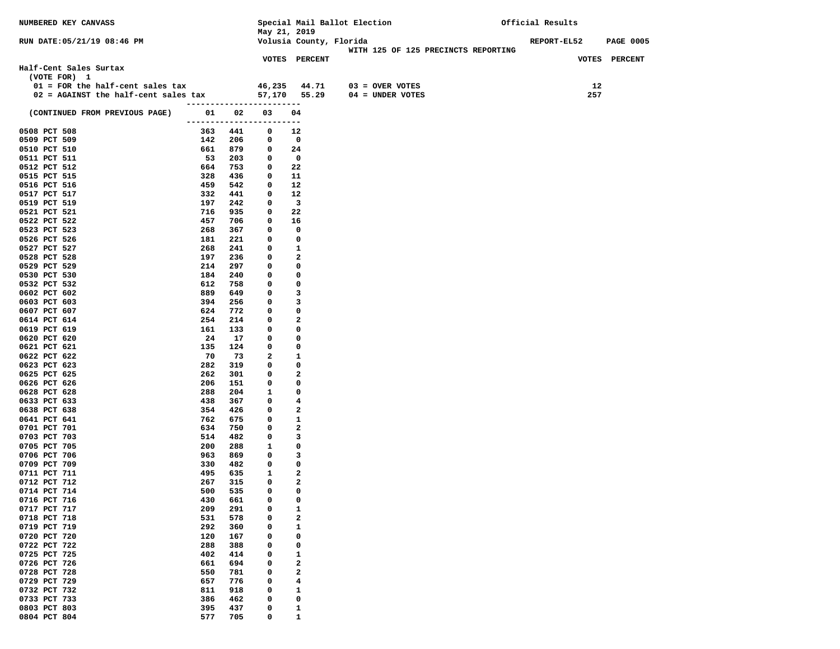| NUMBERED KEY CANVASS                                |            |            |                          |                                | Special Mail Ballot Election |                                     | Official Results   |                  |
|-----------------------------------------------------|------------|------------|--------------------------|--------------------------------|------------------------------|-------------------------------------|--------------------|------------------|
| RUN DATE: 05/21/19 08:46 PM                         |            |            | May 21, 2019             | Volusia County, Florida        |                              |                                     | <b>REPORT-EL52</b> | <b>PAGE 0005</b> |
|                                                     |            |            |                          |                                |                              | WITH 125 OF 125 PRECINCTS REPORTING |                    |                  |
|                                                     |            |            |                          | <b>VOTES PERCENT</b>           |                              |                                     |                    | VOTES PERCENT    |
| Half-Cent Sales Surtax                              |            |            |                          |                                |                              |                                     |                    |                  |
| (VOTE FOR) 1                                        |            |            |                          |                                |                              |                                     |                    |                  |
| $01$ = FOR the half-cent sales tax                  |            |            |                          | 46,235 44.71                   | $03 =$ OVER VOTES            |                                     | 12                 |                  |
| $02$ = AGAINST the half-cent sales tax 57,170 55.29 |            |            | ------------------------ |                                | 04 = UNDER VOTES             |                                     | 257                |                  |
| (CONTINUED FROM PREVIOUS PAGE)                      |            | 01 02      | 03                       | 04                             |                              |                                     |                    |                  |
|                                                     |            |            | ------------------------ |                                |                              |                                     |                    |                  |
| 0508 PCT 508                                        |            | 363 441    | 0                        | 12                             |                              |                                     |                    |                  |
| 0509 PCT 509                                        |            | 142 206    | 0                        | 0                              |                              |                                     |                    |                  |
| 0510 PCT 510                                        | 661        | 879        | $\mathbf 0$              | 24                             |                              |                                     |                    |                  |
| 0511 PCT 511<br>0512 PCT 512                        | 53<br>664  | 203<br>753 | $\mathbf 0$<br>0         | $\overline{\phantom{0}}$<br>22 |                              |                                     |                    |                  |
| 0515 PCT 515                                        | 328        | 436        | 0                        | 11                             |                              |                                     |                    |                  |
| 0516 PCT 516                                        | 459        | 542        | 0                        | 12                             |                              |                                     |                    |                  |
| 0517 PCT 517                                        | 332        | 441        | 0                        | 12                             |                              |                                     |                    |                  |
| 0519 PCT 519                                        | 197        | 242        | 0                        | $\mathbf{3}$                   |                              |                                     |                    |                  |
| 0521 PCT 521                                        | 716        | 935        | 0                        | 22                             |                              |                                     |                    |                  |
| 0522 PCT 522                                        | 457        | 706        | 0                        | 16                             |                              |                                     |                    |                  |
| 0523 PCT 523<br>0526 PCT 526                        | 268<br>181 | 367<br>221 | 0<br>0                   | 0<br>0                         |                              |                                     |                    |                  |
| 0527 PCT 527                                        | 268        | 241        | 0                        | 1                              |                              |                                     |                    |                  |
| 0528 PCT 528                                        | 197        | 236        | 0                        | 2                              |                              |                                     |                    |                  |
| 0529 PCT 529                                        | 214        | 297        | 0                        | 0                              |                              |                                     |                    |                  |
| 0530 PCT 530                                        | 184        | 240        | 0                        | 0                              |                              |                                     |                    |                  |
| 0532 PCT 532                                        | 612        | 758        | 0                        | 0                              |                              |                                     |                    |                  |
| 0602 PCT 602<br>0603 PCT 603                        | 889<br>394 | 649<br>256 | 0<br>0                   | 3<br>3                         |                              |                                     |                    |                  |
| 0607 PCT 607                                        | 624        | 772        | 0                        | 0                              |                              |                                     |                    |                  |
| 0614 PCT 614                                        | 254        | 214        | 0                        | 2                              |                              |                                     |                    |                  |
| 0619 PCT 619                                        | 161        | 133        | 0                        | 0                              |                              |                                     |                    |                  |
| 0620 PCT 620                                        | 24         | 17         | 0                        | 0                              |                              |                                     |                    |                  |
| 0621 PCT 621                                        | 135        | 124        | 0                        | 0                              |                              |                                     |                    |                  |
| 0622 PCT 622                                        | 70         | 73<br>319  | 2                        | 1                              |                              |                                     |                    |                  |
| 0623 PCT 623<br>0625 PCT 625                        | 282<br>262 | 301        | 0<br>0                   | 0<br>2                         |                              |                                     |                    |                  |
| 0626 PCT 626                                        | 206        | 151        | 0                        | 0                              |                              |                                     |                    |                  |
| 0628 PCT 628                                        | 288        | 204        | $\mathbf{1}$             | 0                              |                              |                                     |                    |                  |
| 0633 PCT 633                                        | 438        | 367        | 0                        | 4                              |                              |                                     |                    |                  |
| 0638 PCT 638                                        | 354        | 426        | 0                        | $\overline{\mathbf{2}}$        |                              |                                     |                    |                  |
| 0641 PCT 641                                        | 762        | 675        | 0                        | 1                              |                              |                                     |                    |                  |
| 0701 PCT 701<br>0703 PCT 703                        | 634<br>514 | 750<br>482 | 0<br>0                   | 2<br>3                         |                              |                                     |                    |                  |
| 0705 PCT 705                                        | 200        | 288        | 1                        | 0                              |                              |                                     |                    |                  |
| 0706 PCT 706                                        | 963        | 869        | 0                        | 3                              |                              |                                     |                    |                  |
| 0709 PCT 709                                        | 330        | 482        | 0                        | 0                              |                              |                                     |                    |                  |
| 0711 PCT 711                                        | 495        | 635        | $\mathbf{1}$             | 2                              |                              |                                     |                    |                  |
| 0712 PCT 712                                        | 267        | 315        | 0                        | 2                              |                              |                                     |                    |                  |
| 0714 PCT 714<br>0716 PCT 716                        | 500<br>430 | 535<br>661 | 0<br>0                   | 0<br>0                         |                              |                                     |                    |                  |
| 0717 PCT 717                                        | 209        | 291        | 0                        | 1                              |                              |                                     |                    |                  |
| 0718 PCT 718                                        | 531        | 578        | 0                        | 2                              |                              |                                     |                    |                  |
| 0719 PCT 719                                        | 292        | 360        | 0                        | 1                              |                              |                                     |                    |                  |
| 0720 PCT 720                                        | 120        | 167        | 0                        | 0                              |                              |                                     |                    |                  |
| 0722 PCT 722                                        | 288        | 388        | 0                        | 0                              |                              |                                     |                    |                  |
| 0725 PCT 725<br>0726 PCT 726                        | 402<br>661 | 414<br>694 | 0<br>0                   | 1<br>2                         |                              |                                     |                    |                  |
| 0728 PCT 728                                        | 550        | 781        | 0                        | 2                              |                              |                                     |                    |                  |
| 0729 PCT 729                                        | 657        | 776        | 0                        | 4                              |                              |                                     |                    |                  |
| 0732 PCT 732                                        | 811        | 918        | 0                        | 1                              |                              |                                     |                    |                  |
| 0733 PCT 733                                        | 386        | 462        | 0                        | 0                              |                              |                                     |                    |                  |
| 0803 PCT 803                                        | 395        | 437        | 0                        | 1                              |                              |                                     |                    |                  |
| 0804 PCT 804                                        | 577        | 705        | 0                        | $\mathbf{1}$                   |                              |                                     |                    |                  |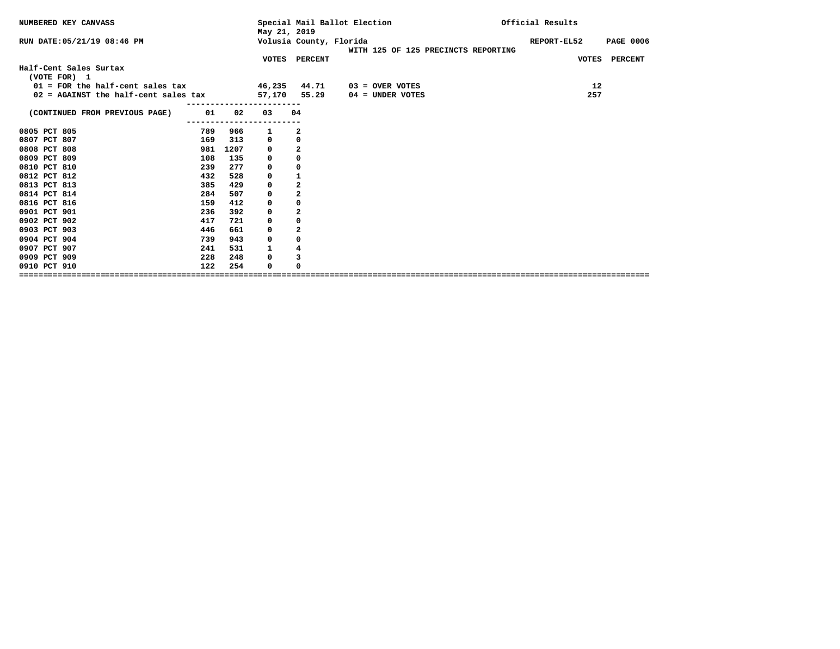| NUMBERED KEY CANVASS                 |     |      | May 21, 2019 |                         | Special Mail Ballot Election        | Official Results |                  |
|--------------------------------------|-----|------|--------------|-------------------------|-------------------------------------|------------------|------------------|
| RUN DATE: 05/21/19 08:46 PM          |     |      |              | Volusia County, Florida | WITH 125 OF 125 PRECINCTS REPORTING | REPORT-EL52      | <b>PAGE 0006</b> |
|                                      |     |      |              | VOTES PERCENT           |                                     |                  | VOTES PERCENT    |
| Half-Cent Sales Surtax               |     |      |              |                         |                                     |                  |                  |
| (VOTE FOR) 1                         |     |      |              |                         |                                     |                  |                  |
| $01$ = FOR the half-cent sales tax   |     |      | 46,235 44.71 |                         | $03 =$ OVER VOTES                   | 12               |                  |
| 02 = AGAINST the half-cent sales tax |     |      |              | 57,170 55.29            | 04 = UNDER VOTES                    | 257              |                  |
| (CONTINUED FROM PREVIOUS PAGE)       | 01  | 02   | 03           | 04                      |                                     |                  |                  |
| 0805 PCT 805                         | 789 | 966  | ı            | 2                       |                                     |                  |                  |
| 0807 PCT 807                         | 169 | 313  | 0            | $\mathbf 0$             |                                     |                  |                  |
| 0808 PCT 808                         | 981 | 1207 | 0            | $\overline{\mathbf{2}}$ |                                     |                  |                  |
| 0809 PCT 809                         | 108 | 135  | 0            | $\mathbf 0$             |                                     |                  |                  |
| 0810 PCT 810                         | 239 | 277  | 0            | 0                       |                                     |                  |                  |
| 0812 PCT 812                         | 432 | 528  | 0            | 1                       |                                     |                  |                  |
| 0813 PCT 813                         | 385 | 429  | 0            | $\overline{2}$          |                                     |                  |                  |
| 0814 PCT 814                         | 284 | 507  | 0            | $\overline{2}$          |                                     |                  |                  |
| 0816 PCT 816                         | 159 | 412  | 0            | 0                       |                                     |                  |                  |
| 0901 PCT 901                         | 236 | 392  | 0            | $\mathbf{2}$            |                                     |                  |                  |
| 0902 PCT 902                         | 417 | 721  | 0            | 0                       |                                     |                  |                  |
| 0903 PCT 903                         | 446 | 661  | 0            | $\overline{2}$          |                                     |                  |                  |
| 0904 PCT 904                         | 739 | 943  | 0            | 0                       |                                     |                  |                  |
| 0907 PCT 907                         | 241 | 531  | 1            | 4                       |                                     |                  |                  |
| 0909 PCT 909                         | 228 | 248  | 0            | 3                       |                                     |                  |                  |
| 0910 PCT 910                         | 122 | 254  | 0            | 0                       |                                     |                  |                  |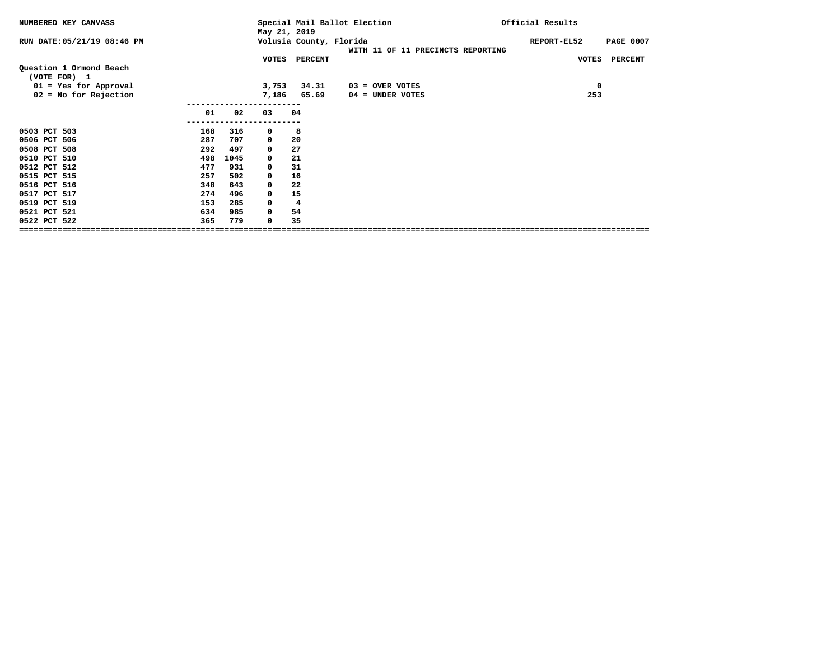| NUMBERED KEY CANVASS        |     |      | May 21, 2019 |                         | Special Mail Ballot Election      | Official Results                |
|-----------------------------|-----|------|--------------|-------------------------|-----------------------------------|---------------------------------|
| RUN DATE: 05/21/19 08:46 PM |     |      |              | Volusia County, Florida | WITH 11 OF 11 PRECINCTS REPORTING | <b>PAGE 0007</b><br>REPORT-EL52 |
| Question 1 Ormond Beach     |     |      |              | VOTES PERCENT           |                                   | <b>VOTES</b><br><b>PERCENT</b>  |
| (VOTE FOR) 1                |     |      |              |                         |                                   |                                 |
| 01 = Yes for Approval       |     |      | 3,753        | 34.31                   | $03 =$ OVER VOTES                 | $\mathbf 0$                     |
| $02 = No$ for Rejection     |     |      | 7,186        | 65.69                   | $04 =$ UNDER VOTES                | 253                             |
|                             |     |      |              |                         |                                   |                                 |
|                             | 01  | 02   | 03           | 04                      |                                   |                                 |
| 0503 PCT 503                | 168 | 316  | 0            | 8                       |                                   |                                 |
| 0506 PCT 506                | 287 | 707  | $\mathbf 0$  | 20                      |                                   |                                 |
| 0508 PCT 508                | 292 | 497  | $\mathbf 0$  | 27                      |                                   |                                 |
| 0510 PCT 510                | 498 | 1045 | $\mathbf 0$  | 21                      |                                   |                                 |
| 0512 PCT 512                | 477 | 931  | $\mathbf 0$  | 31                      |                                   |                                 |
| 0515 PCT 515                | 257 | 502  | $\mathbf 0$  | 16                      |                                   |                                 |
| 0516 PCT 516                | 348 | 643  | 0            | 22                      |                                   |                                 |
| 0517 PCT 517                | 274 | 496  | $\mathbf 0$  | 15                      |                                   |                                 |
| 0519 PCT 519                | 153 | 285  | 0            | 4                       |                                   |                                 |
| 0521 PCT 521                | 634 | 985  | $\mathbf 0$  | 54                      |                                   |                                 |
| 0522 PCT 522                | 365 | 779  | 0            | 35                      |                                   |                                 |
|                             |     |      |              |                         |                                   |                                 |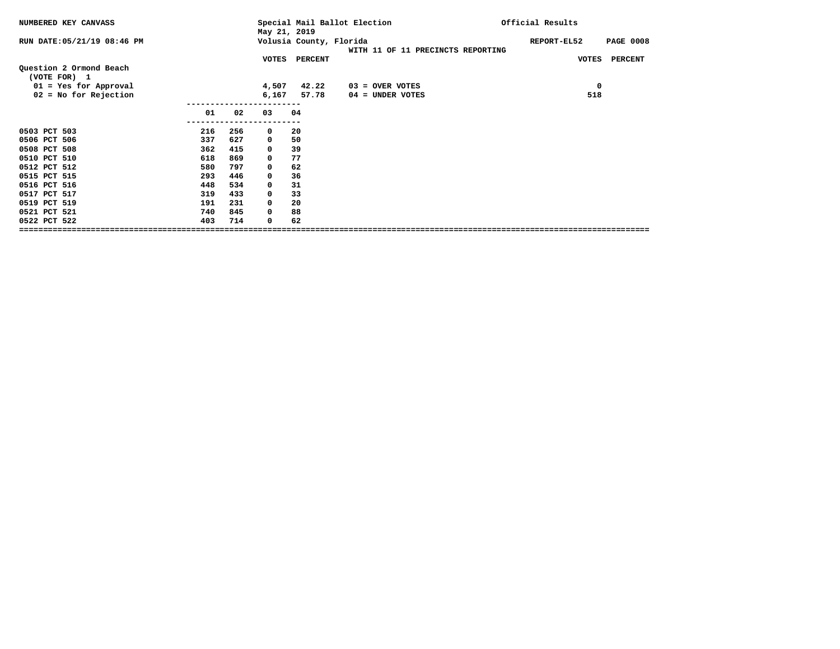| NUMBERED KEY CANVASS                    |     |     | May 21, 2019 |                         | Special Mail Ballot Election      | Official Results                |
|-----------------------------------------|-----|-----|--------------|-------------------------|-----------------------------------|---------------------------------|
| RUN DATE: 05/21/19 08:46 PM             |     |     |              | Volusia County, Florida | WITH 11 OF 11 PRECINCTS REPORTING | <b>PAGE 0008</b><br>REPORT-EL52 |
|                                         |     |     | VOTES        | <b>PERCENT</b>          |                                   | <b>PERCENT</b><br><b>VOTES</b>  |
| Question 2 Ormond Beach<br>(VOTE FOR) 1 |     |     |              |                         |                                   |                                 |
| $01 = Yes for Approach$                 |     |     | 4,507        | 42.22                   | $03 =$ OVER VOTES                 | 0                               |
| $02 = No$ for Rejection                 |     |     | 6,167        | 57.78                   | $04 =$ UNDER VOTES                | 518                             |
|                                         | 01  | 02  | 03           | 04                      |                                   |                                 |
| 0503 PCT 503                            | 216 | 256 | $\mathbf 0$  | 20                      |                                   |                                 |
| 0506 PCT 506                            | 337 | 627 | $\mathbf 0$  | 50                      |                                   |                                 |
| 0508 PCT 508                            | 362 | 415 | $\mathbf 0$  | 39                      |                                   |                                 |
| 0510 PCT 510                            | 618 | 869 | $\mathbf 0$  | 77                      |                                   |                                 |
| 0512 PCT 512                            | 580 | 797 | $\mathbf 0$  | 62                      |                                   |                                 |
| 0515 PCT 515                            | 293 | 446 | $\mathbf 0$  | 36                      |                                   |                                 |
| 0516 PCT 516                            | 448 | 534 | 0            | 31                      |                                   |                                 |
| 0517 PCT 517                            | 319 | 433 | $\mathbf 0$  | 33                      |                                   |                                 |
| 0519 PCT 519                            | 191 | 231 | 0            | 20                      |                                   |                                 |
| 0521 PCT 521                            | 740 | 845 | 0            | 88                      |                                   |                                 |
| 0522 PCT 522                            | 403 | 714 | 0            | 62                      |                                   |                                 |
|                                         |     |     |              |                         |                                   |                                 |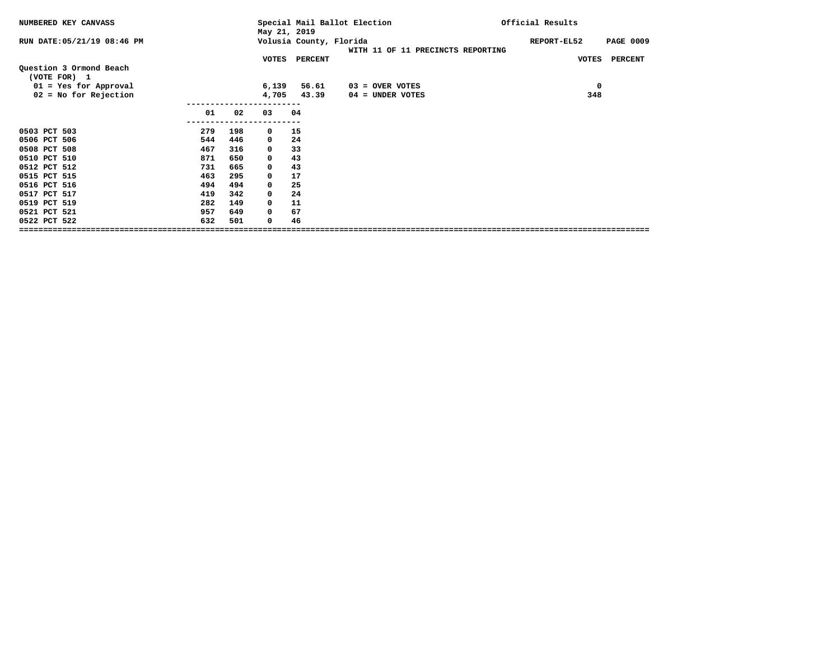| NUMBERED KEY CANVASS                    |     |     | May 21, 2019 |                         | Special Mail Ballot Election      | Official Results |                                |
|-----------------------------------------|-----|-----|--------------|-------------------------|-----------------------------------|------------------|--------------------------------|
| RUN DATE: 05/21/19 08:46 PM             |     |     |              | Volusia County, Florida | WITH 11 OF 11 PRECINCTS REPORTING | REPORT-EL52      | <b>PAGE 0009</b>               |
|                                         |     |     |              | VOTES PERCENT           |                                   |                  | <b>PERCENT</b><br><b>VOTES</b> |
| Question 3 Ormond Beach<br>(VOTE FOR) 1 |     |     |              |                         |                                   |                  |                                |
| $01 = Yes for Approach$                 |     |     | 6,139        | 56.61                   | $03 =$ OVER VOTES                 |                  | 0                              |
| $02 = No$ for Rejection                 |     |     | 4,705        | 43.39                   | $04 =$ UNDER VOTES                |                  | 348                            |
|                                         | 01  | 02  | 03           | 04                      |                                   |                  |                                |
| 0503 PCT 503                            | 279 | 198 | $\mathbf 0$  | 15                      |                                   |                  |                                |
| 0506 PCT 506                            | 544 | 446 | $\mathbf 0$  | 24                      |                                   |                  |                                |
| 0508 PCT 508                            | 467 | 316 | $\mathbf 0$  | 33                      |                                   |                  |                                |
| 0510 PCT 510                            | 871 | 650 | $\mathbf 0$  | 43                      |                                   |                  |                                |
| 0512 PCT 512                            | 731 | 665 | $\mathbf 0$  | 43                      |                                   |                  |                                |
| 0515 PCT 515                            | 463 | 295 | $\mathbf 0$  | 17                      |                                   |                  |                                |
| 0516 PCT 516                            | 494 | 494 | $\mathbf 0$  | 25                      |                                   |                  |                                |
| 0517 PCT 517                            | 419 | 342 | $\mathbf 0$  | 24                      |                                   |                  |                                |
| 0519 PCT 519                            | 282 | 149 | $\mathbf 0$  | 11                      |                                   |                  |                                |
| 0521 PCT 521                            | 957 | 649 | 0            | 67                      |                                   |                  |                                |
| 0522 PCT 522                            | 632 | 501 | 0            | 46                      |                                   |                  |                                |
|                                         |     |     |              |                         |                                   |                  |                                |